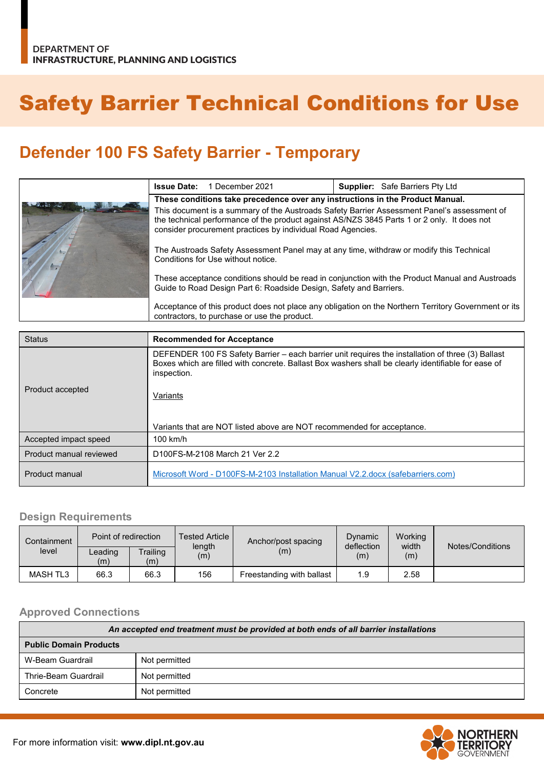# Safety Barrier Technical Conditions for Use

## **Defender 100 FS Safety Barrier - Temporary**

|  | <b>Issue Date:</b>                                                                                                                                                                                                                                                                                                                                                                                                                                              | 1 December 2021 |  | <b>Supplier:</b> Safe Barriers Pty Ltd |
|--|-----------------------------------------------------------------------------------------------------------------------------------------------------------------------------------------------------------------------------------------------------------------------------------------------------------------------------------------------------------------------------------------------------------------------------------------------------------------|-----------------|--|----------------------------------------|
|  | These conditions take precedence over any instructions in the Product Manual.                                                                                                                                                                                                                                                                                                                                                                                   |                 |  |                                        |
|  | This document is a summary of the Austroads Safety Barrier Assessment Panel's assessment of<br>the technical performance of the product against AS/NZS 3845 Parts 1 or 2 only. It does not<br>consider procurement practices by individual Road Agencies.                                                                                                                                                                                                       |                 |  |                                        |
|  | The Austroads Safety Assessment Panel may at any time, withdraw or modify this Technical<br>Conditions for Use without notice.<br>These acceptance conditions should be read in conjunction with the Product Manual and Austroads<br>Guide to Road Design Part 6: Roadside Design, Safety and Barriers.<br>Acceptance of this product does not place any obligation on the Northern Territory Government or its<br>contractors, to purchase or use the product. |                 |  |                                        |
|  |                                                                                                                                                                                                                                                                                                                                                                                                                                                                 |                 |  |                                        |
|  |                                                                                                                                                                                                                                                                                                                                                                                                                                                                 |                 |  |                                        |

| <b>Status</b>           | <b>Recommended for Acceptance</b>                                                                                                                                                                                                   |  |  |
|-------------------------|-------------------------------------------------------------------------------------------------------------------------------------------------------------------------------------------------------------------------------------|--|--|
| Product accepted        | DEFENDER 100 FS Safety Barrier – each barrier unit requires the installation of three (3) Ballast<br>Boxes which are filled with concrete. Ballast Box washers shall be clearly identifiable for ease of<br>inspection.<br>Variants |  |  |
|                         | Variants that are NOT listed above are NOT recommended for acceptance.                                                                                                                                                              |  |  |
| Accepted impact speed   | $100$ km/h                                                                                                                                                                                                                          |  |  |
| Product manual reviewed | D100FS-M-2108 March 21 Ver 2.2                                                                                                                                                                                                      |  |  |
| Product manual          | Microsoft Word - D100FS-M-2103 Installation Manual V2.2.docx (safebarriers.com)                                                                                                                                                     |  |  |

#### **Design Requirements**

| Containment | Point of redirection |                 | <b>Tested Article</b><br>length | Anchor/post spacing       | Working<br>Dynamic<br>width<br>deflection |      | Notes/Conditions |
|-------------|----------------------|-----------------|---------------------------------|---------------------------|-------------------------------------------|------|------------------|
| level       | ∟eading<br>(m)       | Trailing<br>(m) | (m)                             | (m)                       | (m)                                       | (m)  |                  |
| MASH TL3    | 66.3                 | 66.3            | 156                             | Freestanding with ballast | 1.9                                       | 2.58 |                  |

#### **Approved Connections**

| An accepted end treatment must be provided at both ends of all barrier installations |               |  |  |
|--------------------------------------------------------------------------------------|---------------|--|--|
| <b>Public Domain Products</b>                                                        |               |  |  |
| W-Beam Guardrail                                                                     | Not permitted |  |  |
| Thrie-Beam Guardrail                                                                 | Not permitted |  |  |
| Concrete                                                                             | Not permitted |  |  |

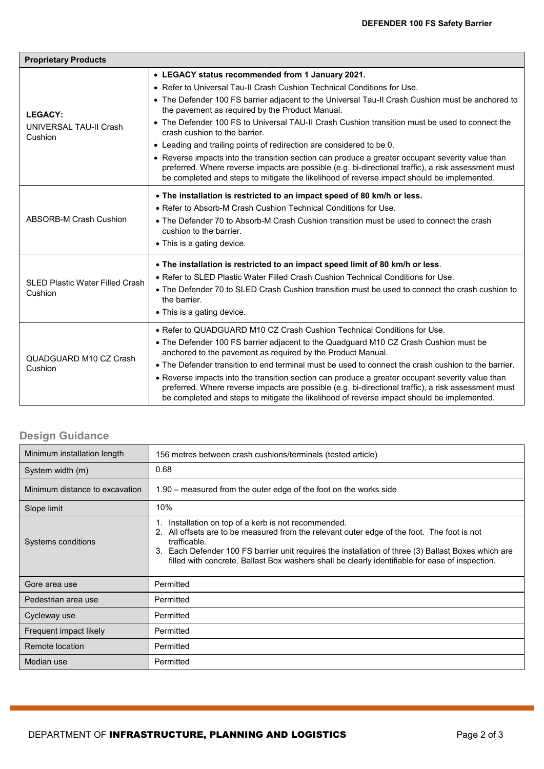| <b>Proprietary Products</b>                         |                                                                                                                                                                                                                                                                                                       |  |  |  |
|-----------------------------------------------------|-------------------------------------------------------------------------------------------------------------------------------------------------------------------------------------------------------------------------------------------------------------------------------------------------------|--|--|--|
| <b>LEGACY:</b><br>UNIVERSAL TAU-II Crash<br>Cushion | • LEGACY status recommended from 1 January 2021.                                                                                                                                                                                                                                                      |  |  |  |
|                                                     | • Refer to Universal Tau-II Crash Cushion Technical Conditions for Use.                                                                                                                                                                                                                               |  |  |  |
|                                                     | • The Defender 100 FS barrier adjacent to the Universal Tau-II Crash Cushion must be anchored to<br>the pavement as required by the Product Manual.                                                                                                                                                   |  |  |  |
|                                                     | • The Defender 100 FS to Universal TAU-II Crash Cushion transition must be used to connect the<br>crash cushion to the barrier.                                                                                                                                                                       |  |  |  |
|                                                     | • Leading and trailing points of redirection are considered to be 0.                                                                                                                                                                                                                                  |  |  |  |
|                                                     | • Reverse impacts into the transition section can produce a greater occupant severity value than<br>preferred. Where reverse impacts are possible (e.g. bi-directional traffic), a risk assessment must<br>be completed and steps to mitigate the likelihood of reverse impact should be implemented. |  |  |  |
|                                                     | . The installation is restricted to an impact speed of 80 km/h or less.                                                                                                                                                                                                                               |  |  |  |
| <b>ABSORB-M Crash Cushion</b>                       | • Refer to Absorb-M Crash Cushion Technical Conditions for Use.                                                                                                                                                                                                                                       |  |  |  |
|                                                     | • The Defender 70 to Absorb-M Crash Cushion transition must be used to connect the crash<br>cushion to the barrier.                                                                                                                                                                                   |  |  |  |
|                                                     | • This is a gating device.                                                                                                                                                                                                                                                                            |  |  |  |
|                                                     |                                                                                                                                                                                                                                                                                                       |  |  |  |
|                                                     | . The installation is restricted to an impact speed limit of 80 km/h or less.                                                                                                                                                                                                                         |  |  |  |
| <b>SLED Plastic Water Filled Crash</b>              | • Refer to SLED Plastic Water Filled Crash Cushion Technical Conditions for Use.                                                                                                                                                                                                                      |  |  |  |
| Cushion                                             | • The Defender 70 to SLED Crash Cushion transition must be used to connect the crash cushion to<br>the barrier.                                                                                                                                                                                       |  |  |  |
|                                                     | • This is a gating device.                                                                                                                                                                                                                                                                            |  |  |  |
| QUADGUARD M10 CZ Crash<br>Cushion                   | . Refer to QUADGUARD M10 CZ Crash Cushion Technical Conditions for Use.                                                                                                                                                                                                                               |  |  |  |
|                                                     | • The Defender 100 FS barrier adjacent to the Quadguard M10 CZ Crash Cushion must be<br>anchored to the pavement as required by the Product Manual.                                                                                                                                                   |  |  |  |
|                                                     | • The Defender transition to end terminal must be used to connect the crash cushion to the barrier.                                                                                                                                                                                                   |  |  |  |
|                                                     | • Reverse impacts into the transition section can produce a greater occupant severity value than<br>preferred. Where reverse impacts are possible (e.g. bi-directional traffic), a risk assessment must<br>be completed and steps to mitigate the likelihood of reverse impact should be implemented. |  |  |  |

### **Design Guidance**

| Minimum installation length    | 156 metres between crash cushions/terminals (tested article)                                                                                                                                                                                                                                                                                                                     |  |  |
|--------------------------------|----------------------------------------------------------------------------------------------------------------------------------------------------------------------------------------------------------------------------------------------------------------------------------------------------------------------------------------------------------------------------------|--|--|
| System width (m)               | 0.68                                                                                                                                                                                                                                                                                                                                                                             |  |  |
| Minimum distance to excavation | 1.90 – measured from the outer edge of the foot on the works side                                                                                                                                                                                                                                                                                                                |  |  |
| Slope limit                    | 10%                                                                                                                                                                                                                                                                                                                                                                              |  |  |
| Systems conditions             | Installation on top of a kerb is not recommended.<br>1.<br>2. All offsets are to be measured from the relevant outer edge of the foot. The foot is not<br>trafficable.<br>3. Each Defender 100 FS barrier unit requires the installation of three (3) Ballast Boxes which are<br>filled with concrete. Ballast Box washers shall be clearly identifiable for ease of inspection. |  |  |
| Gore area use                  | Permitted                                                                                                                                                                                                                                                                                                                                                                        |  |  |
| Pedestrian area use            | Permitted                                                                                                                                                                                                                                                                                                                                                                        |  |  |
| Cycleway use                   | Permitted                                                                                                                                                                                                                                                                                                                                                                        |  |  |
| Frequent impact likely         | Permitted                                                                                                                                                                                                                                                                                                                                                                        |  |  |
| Remote location                | Permitted                                                                                                                                                                                                                                                                                                                                                                        |  |  |
| Median use                     | Permitted                                                                                                                                                                                                                                                                                                                                                                        |  |  |